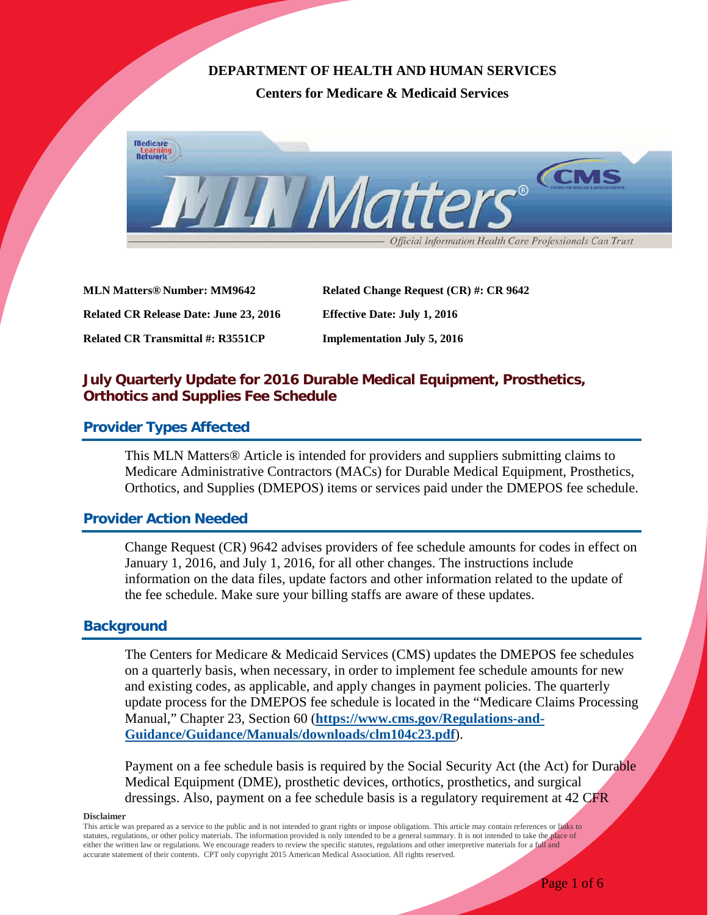# **DEPARTMENT OF HEALTH AND HUMAN SERVICES**

**Centers for Medicare & Medicaid Services**



**MLN Matters® Number: MM9642 Related Change Request (CR) #: CR 9642 Related CR Release Date: June 23, 2016 Effective Date: July 1, 2016 Related CR Transmittal #: R3551CP Implementation July 5, 2016**

# **July Quarterly Update for 2016 Durable Medical Equipment, Prosthetics, Orthotics and Supplies Fee Schedule**

## **Provider Types Affected**

This MLN Matters® Article is intended for providers and suppliers submitting claims to Medicare Administrative Contractors (MACs) for Durable Medical Equipment, Prosthetics, Orthotics, and Supplies (DMEPOS) items or services paid under the DMEPOS fee schedule.

# **Provider Action Needed**

Change Request (CR) 9642 advises providers of fee schedule amounts for codes in effect on January 1, 2016, and July 1, 2016, for all other changes. The instructions include information on the data files, update factors and other information related to the update of the fee schedule. Make sure your billing staffs are aware of these updates.

## **Background**

The Centers for Medicare & Medicaid Services (CMS) updates the DMEPOS fee schedules on a quarterly basis, when necessary, in order to implement fee schedule amounts for new and existing codes, as applicable, and apply changes in payment policies. The quarterly update process for the DMEPOS fee schedule is located in the "Medicare Claims Processing Manual," Chapter 23, Section 60 (**[https://www.cms.gov/Regulations-and-](https://www.cms.gov/Regulations-and-Guidance/Guidance/Manuals/downloads/clm104c23.pdf)[Guidance/Guidance/Manuals/downloads/clm104c23.pdf](https://www.cms.gov/Regulations-and-Guidance/Guidance/Manuals/downloads/clm104c23.pdf)**).

Payment on a fee schedule basis is required by the Social Security Act (the Act) for Durable Medical Equipment (DME), prosthetic devices, orthotics, prosthetics, and surgical dressings. Also, payment on a fee schedule basis is a regulatory requirement at 42 CFR

#### **Disclaimer**

This article was prepared as a service to the public and is not intended to grant rights or impose obligations. This article may contain references or links to statutes, regulations, or other policy materials. The information provided is only intended to be a general summary. It is not intended to take the place of either the written law or regulations. We encourage readers to review the specific statutes, regulations and other interpretive materials for a full and accurate statement of their contents. CPT only copyright 2015 American Medical Association. All rights reserved.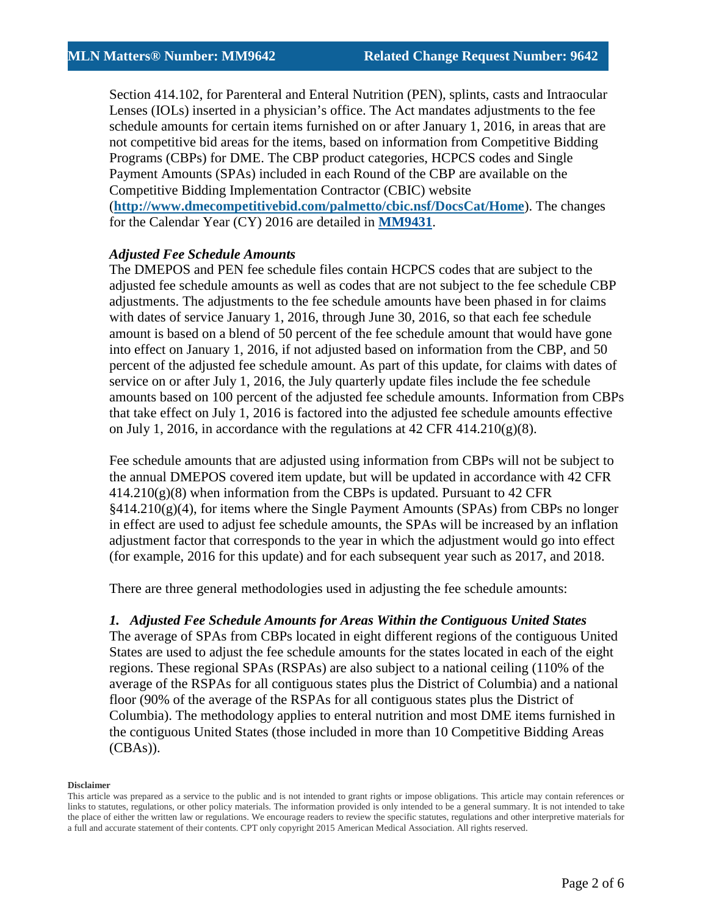Section 414.102, for Parenteral and Enteral Nutrition (PEN), splints, casts and Intraocular Lenses (IOLs) inserted in a physician's office. The Act mandates adjustments to the fee schedule amounts for certain items furnished on or after January 1, 2016, in areas that are not competitive bid areas for the items, based on information from Competitive Bidding Programs (CBPs) for DME. The CBP product categories, HCPCS codes and Single Payment Amounts (SPAs) included in each Round of the CBP are available on the Competitive Bidding Implementation Contractor (CBIC) website (**<http://www.dmecompetitivebid.com/palmetto/cbic.nsf/DocsCat/Home>**). The changes for the Calendar Year (CY) 2016 are detailed in **[MM9431](https://www.cms.gov/Outreach-and-Education/Medicare-Learning-Network-MLN/MLNMattersArticles/Downloads/MM9431.pdf)**.

## *Adjusted Fee Schedule Amounts*

The DMEPOS and PEN fee schedule files contain HCPCS codes that are subject to the adjusted fee schedule amounts as well as codes that are not subject to the fee schedule CBP adjustments. The adjustments to the fee schedule amounts have been phased in for claims with dates of service January 1, 2016, through June 30, 2016, so that each fee schedule amount is based on a blend of 50 percent of the fee schedule amount that would have gone into effect on January 1, 2016, if not adjusted based on information from the CBP, and 50 percent of the adjusted fee schedule amount. As part of this update, for claims with dates of service on or after July 1, 2016, the July quarterly update files include the fee schedule amounts based on 100 percent of the adjusted fee schedule amounts. Information from CBPs that take effect on July 1, 2016 is factored into the adjusted fee schedule amounts effective on July 1, 2016, in accordance with the regulations at 42 CFR 414.210(g)(8).

Fee schedule amounts that are adjusted using information from CBPs will not be subject to the annual DMEPOS covered item update, but will be updated in accordance with 42 CFR  $414.210(g)(8)$  when information from the CBPs is updated. Pursuant to 42 CFR  $§414.210(g)(4)$ , for items where the Single Payment Amounts (SPAs) from CBPs no longer in effect are used to adjust fee schedule amounts, the SPAs will be increased by an inflation adjustment factor that corresponds to the year in which the adjustment would go into effect (for example, 2016 for this update) and for each subsequent year such as 2017, and 2018.

There are three general methodologies used in adjusting the fee schedule amounts:

### *1. Adjusted Fee Schedule Amounts for Areas Within the Contiguous United States*

The average of SPAs from CBPs located in eight different regions of the contiguous United States are used to adjust the fee schedule amounts for the states located in each of the eight regions. These regional SPAs (RSPAs) are also subject to a national ceiling (110% of the average of the RSPAs for all contiguous states plus the District of Columbia) and a national floor (90% of the average of the RSPAs for all contiguous states plus the District of Columbia). The methodology applies to enteral nutrition and most DME items furnished in the contiguous United States (those included in more than 10 Competitive Bidding Areas (CBAs)).

This article was prepared as a service to the public and is not intended to grant rights or impose obligations. This article may contain references or links to statutes, regulations, or other policy materials. The information provided is only intended to be a general summary. It is not intended to take the place of either the written law or regulations. We encourage readers to review the specific statutes, regulations and other interpretive materials for a full and accurate statement of their contents. CPT only copyright 2015 American Medical Association. All rights reserved.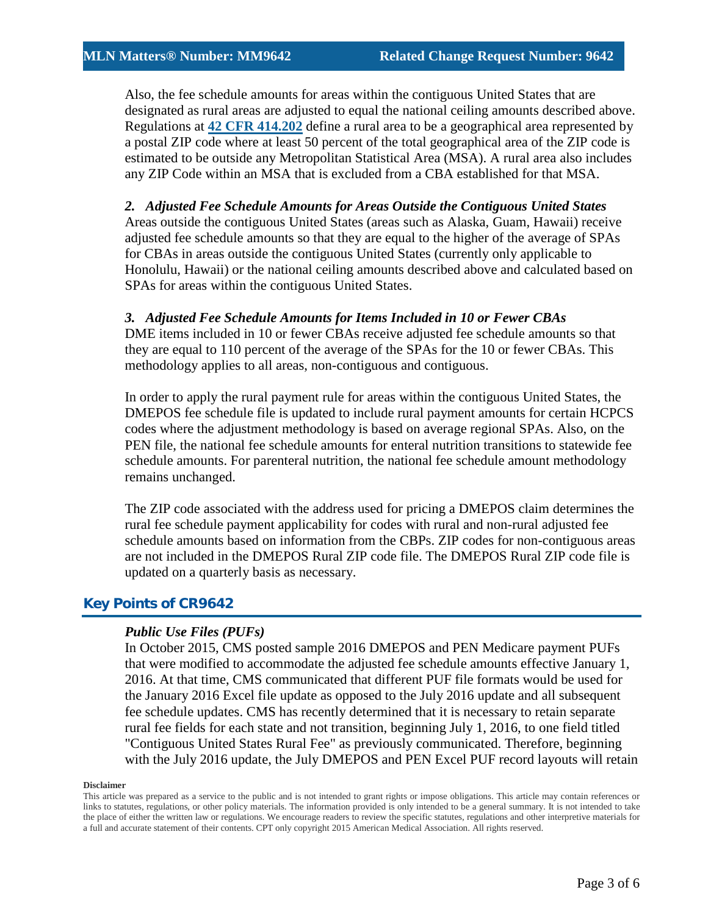Also, the fee schedule amounts for areas within the contiguous United States that are designated as rural areas are adjusted to equal the national ceiling amounts described above. Regulations at **[42 CFR 414.202](https://www.gpo.gov/fdsys/granule/CFR-2011-title42-vol3/CFR-2011-title42-vol3-sec414-202)** define a rural area to be a geographical area represented by a postal ZIP code where at least 50 percent of the total geographical area of the ZIP code is estimated to be outside any Metropolitan Statistical Area (MSA). A rural area also includes any ZIP Code within an MSA that is excluded from a CBA established for that MSA.

*2. Adjusted Fee Schedule Amounts for Areas Outside the Contiguous United States*  Areas outside the contiguous United States (areas such as Alaska, Guam, Hawaii) receive adjusted fee schedule amounts so that they are equal to the higher of the average of SPAs for CBAs in areas outside the contiguous United States (currently only applicable to Honolulu, Hawaii) or the national ceiling amounts described above and calculated based on SPAs for areas within the contiguous United States.

## *3. Adjusted Fee Schedule Amounts for Items Included in 10 or Fewer CBAs*

DME items included in 10 or fewer CBAs receive adjusted fee schedule amounts so that they are equal to 110 percent of the average of the SPAs for the 10 or fewer CBAs. This methodology applies to all areas, non-contiguous and contiguous.

In order to apply the rural payment rule for areas within the contiguous United States, the DMEPOS fee schedule file is updated to include rural payment amounts for certain HCPCS codes where the adjustment methodology is based on average regional SPAs. Also, on the PEN file, the national fee schedule amounts for enteral nutrition transitions to statewide fee schedule amounts. For parenteral nutrition, the national fee schedule amount methodology remains unchanged.

The ZIP code associated with the address used for pricing a DMEPOS claim determines the rural fee schedule payment applicability for codes with rural and non-rural adjusted fee schedule amounts based on information from the CBPs. ZIP codes for non-contiguous areas are not included in the DMEPOS Rural ZIP code file. The DMEPOS Rural ZIP code file is updated on a quarterly basis as necessary.

# **Key Points of CR9642**

## *Public Use Files (PUFs)*

In October 2015, CMS posted sample 2016 DMEPOS and PEN Medicare payment PUFs that were modified to accommodate the adjusted fee schedule amounts effective January 1, 2016. At that time, CMS communicated that different PUF file formats would be used for the January 2016 Excel file update as opposed to the July 2016 update and all subsequent fee schedule updates. CMS has recently determined that it is necessary to retain separate rural fee fields for each state and not transition, beginning July 1, 2016, to one field titled "Contiguous United States Rural Fee" as previously communicated. Therefore, beginning with the July 2016 update, the July DMEPOS and PEN Excel PUF record layouts will retain

#### **Disclaimer**

This article was prepared as a service to the public and is not intended to grant rights or impose obligations. This article may contain references or links to statutes, regulations, or other policy materials. The information provided is only intended to be a general summary. It is not intended to take the place of either the written law or regulations. We encourage readers to review the specific statutes, regulations and other interpretive materials for a full and accurate statement of their contents. CPT only copyright 2015 American Medical Association. All rights reserved.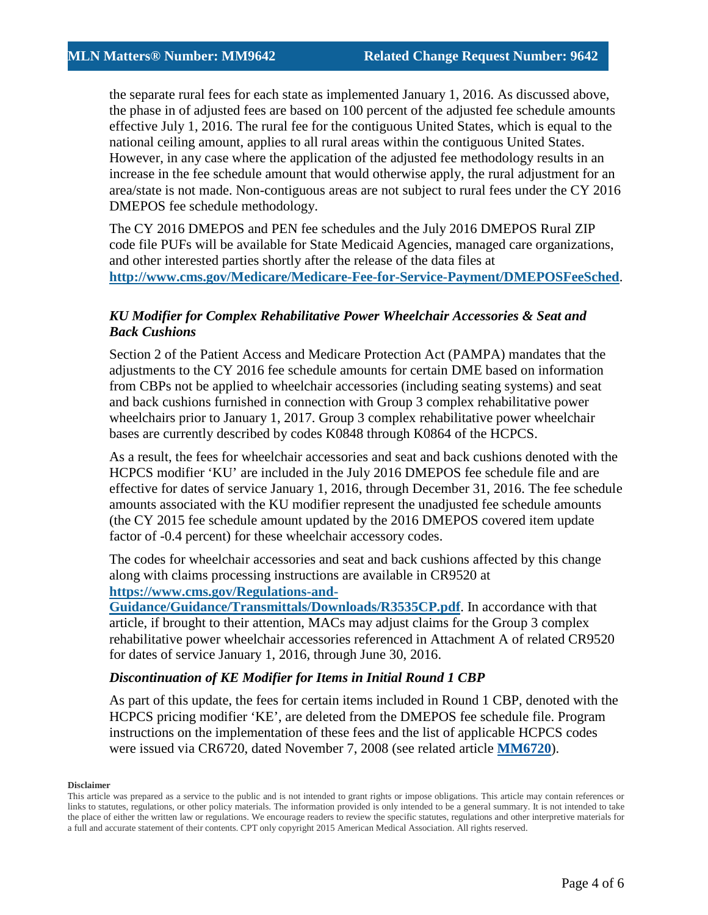the separate rural fees for each state as implemented January 1, 2016. As discussed above, the phase in of adjusted fees are based on 100 percent of the adjusted fee schedule amounts effective July 1, 2016. The rural fee for the contiguous United States, which is equal to the national ceiling amount, applies to all rural areas within the contiguous United States. However, in any case where the application of the adjusted fee methodology results in an increase in the fee schedule amount that would otherwise apply, the rural adjustment for an area/state is not made. Non-contiguous areas are not subject to rural fees under the CY 2016 DMEPOS fee schedule methodology.

The CY 2016 DMEPOS and PEN fee schedules and the July 2016 DMEPOS Rural ZIP code file PUFs will be available for State Medicaid Agencies, managed care organizations, and other interested parties shortly after the release of the data files at **<http://www.cms.gov/Medicare/Medicare-Fee-for-Service-Payment/DMEPOSFeeSched>**.

## *KU Modifier for Complex Rehabilitative Power Wheelchair Accessories & Seat and Back Cushions*

Section 2 of the Patient Access and Medicare Protection Act (PAMPA) mandates that the adjustments to the CY 2016 fee schedule amounts for certain DME based on information from CBPs not be applied to wheelchair accessories (including seating systems) and seat and back cushions furnished in connection with Group 3 complex rehabilitative power wheelchairs prior to January 1, 2017. Group 3 complex rehabilitative power wheelchair bases are currently described by codes K0848 through K0864 of the HCPCS.

As a result, the fees for wheelchair accessories and seat and back cushions denoted with the HCPCS modifier 'KU' are included in the July 2016 DMEPOS fee schedule file and are effective for dates of service January 1, 2016, through December 31, 2016. The fee schedule amounts associated with the KU modifier represent the unadjusted fee schedule amounts (the CY 2015 fee schedule amount updated by the 2016 DMEPOS covered item update factor of -0.4 percent) for these wheelchair accessory codes.

The codes for wheelchair accessories and seat and back cushions affected by this change along with claims processing instructions are available in CR9520 at **[https://www.cms.gov/Regulations-and-](https://www.cms.gov/Regulations-and-Guidance/Guidance/Transmittals/Downloads/R3535CP.pdf)**

**[Guidance/Guidance/Transmittals/Downloads/R3535CP.pdf](https://www.cms.gov/Regulations-and-Guidance/Guidance/Transmittals/Downloads/R3535CP.pdf)**. In accordance with that article, if brought to their attention, MACs may adjust claims for the Group 3 complex rehabilitative power wheelchair accessories referenced in Attachment A of related CR9520 for dates of service January 1, 2016, through June 30, 2016.

## *Discontinuation of KE Modifier for Items in Initial Round 1 CBP*

As part of this update, the fees for certain items included in Round 1 CBP, denoted with the HCPCS pricing modifier 'KE', are deleted from the DMEPOS fee schedule file. Program instructions on the implementation of these fees and the list of applicable HCPCS codes were issued via CR6720, dated November 7, 2008 (see related article **[MM6720](https://www.cms.gov/Outreach-and-Education/Medicare-Learning-Network-MLN/MLNMattersArticles/downloads/mm6270.pdf)**).

This article was prepared as a service to the public and is not intended to grant rights or impose obligations. This article may contain references or links to statutes, regulations, or other policy materials. The information provided is only intended to be a general summary. It is not intended to take the place of either the written law or regulations. We encourage readers to review the specific statutes, regulations and other interpretive materials for a full and accurate statement of their contents. CPT only copyright 2015 American Medical Association. All rights reserved.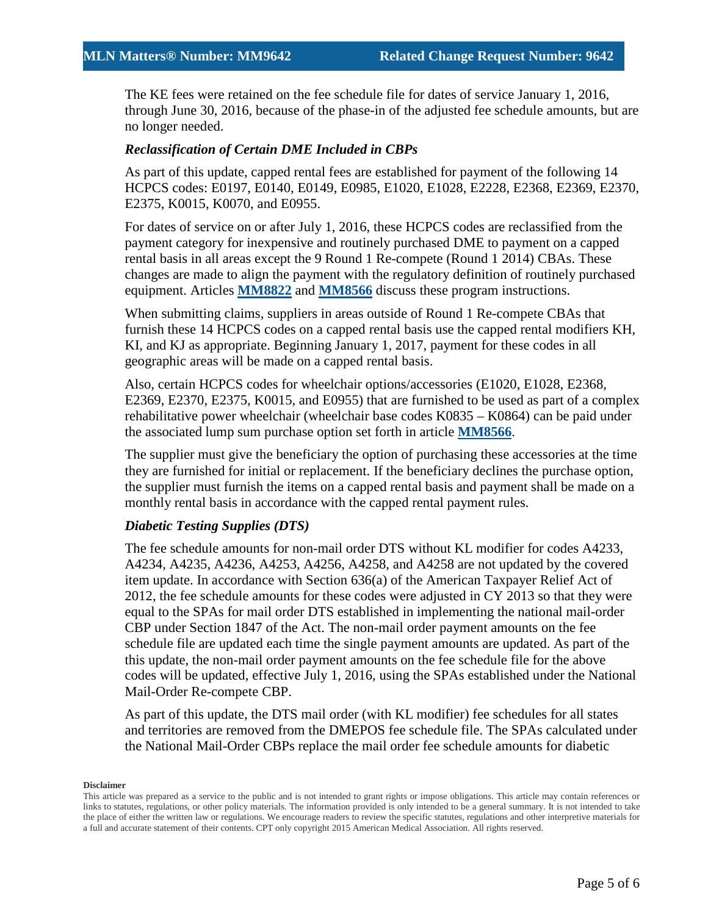The KE fees were retained on the fee schedule file for dates of service January 1, 2016, through June 30, 2016, because of the phase-in of the adjusted fee schedule amounts, but are no longer needed.

### *Reclassification of Certain DME Included in CBPs*

As part of this update, capped rental fees are established for payment of the following 14 HCPCS codes: E0197, E0140, E0149, E0985, E1020, E1028, E2228, E2368, E2369, E2370, E2375, K0015, K0070, and E0955.

For dates of service on or after July 1, 2016, these HCPCS codes are reclassified from the payment category for inexpensive and routinely purchased DME to payment on a capped rental basis in all areas except the 9 Round 1 Re-compete (Round 1 2014) CBAs. These changes are made to align the payment with the regulatory definition of routinely purchased equipment. Articles **[MM8822](https://www.cms.gov/Outreach-and-Education/Medicare-Learning-Network-MLN/MLNMattersArticles/Downloads/MM8822.pdf)** and **[MM8566](https://www.cms.gov/Outreach-and-Education/Medicare-Learning-Network-MLN/MLNMattersArticles/Downloads/MM8566.pdf)** discuss these program instructions.

When submitting claims, suppliers in areas outside of Round 1 Re-compete CBAs that furnish these 14 HCPCS codes on a capped rental basis use the capped rental modifiers KH, KI, and KJ as appropriate. Beginning January 1, 2017, payment for these codes in all geographic areas will be made on a capped rental basis.

Also, certain HCPCS codes for wheelchair options/accessories (E1020, E1028, E2368, E2369, E2370, E2375, K0015, and E0955) that are furnished to be used as part of a complex rehabilitative power wheelchair (wheelchair base codes K0835 – K0864) can be paid under the associated lump sum purchase option set forth in article **[MM8566](https://www.cms.gov/Outreach-and-Education/Medicare-Learning-Network-MLN/MLNMattersArticles/Downloads/MM8566.pdf)**.

The supplier must give the beneficiary the option of purchasing these accessories at the time they are furnished for initial or replacement. If the beneficiary declines the purchase option, the supplier must furnish the items on a capped rental basis and payment shall be made on a monthly rental basis in accordance with the capped rental payment rules.

### *Diabetic Testing Supplies (DTS)*

The fee schedule amounts for non-mail order DTS without KL modifier for codes A4233, A4234, A4235, A4236, A4253, A4256, A4258, and A4258 are not updated by the covered item update. In accordance with Section 636(a) of the American Taxpayer Relief Act of 2012, the fee schedule amounts for these codes were adjusted in CY 2013 so that they were equal to the SPAs for mail order DTS established in implementing the national mail-order CBP under Section 1847 of the Act. The non-mail order payment amounts on the fee schedule file are updated each time the single payment amounts are updated. As part of the this update, the non-mail order payment amounts on the fee schedule file for the above codes will be updated, effective July 1, 2016, using the SPAs established under the National Mail-Order Re-compete CBP.

As part of this update, the DTS mail order (with KL modifier) fee schedules for all states and territories are removed from the DMEPOS fee schedule file. The SPAs calculated under the National Mail-Order CBPs replace the mail order fee schedule amounts for diabetic

This article was prepared as a service to the public and is not intended to grant rights or impose obligations. This article may contain references or links to statutes, regulations, or other policy materials. The information provided is only intended to be a general summary. It is not intended to take the place of either the written law or regulations. We encourage readers to review the specific statutes, regulations and other interpretive materials for a full and accurate statement of their contents. CPT only copyright 2015 American Medical Association. All rights reserved.